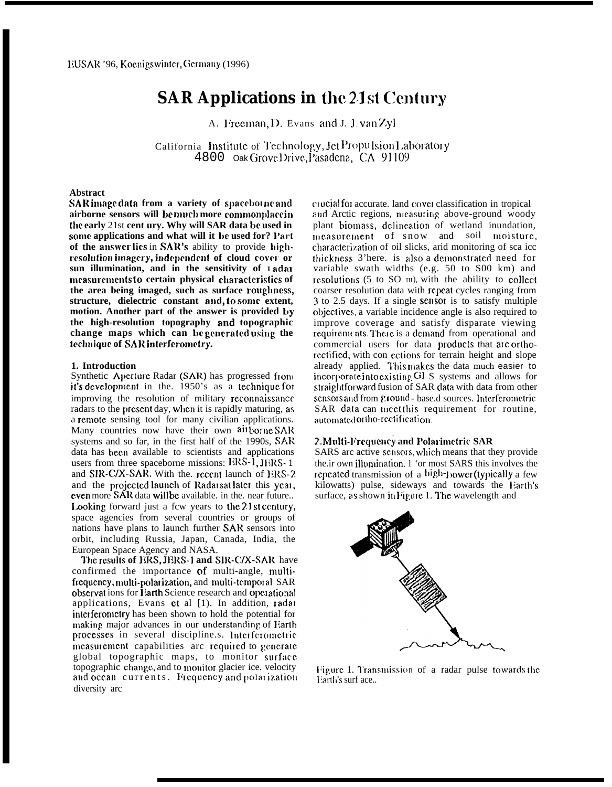# **SAR Applications in the 21st Century**

A. Freeman, D. Evans and J. J. van Zyl

California Institute of Technology, Jet Propulsion Laboratory 4800 Oak Grove Drive, Pasadena, CA 91109

### **Abstract**

SAR image data from a variety of spaceborne and airborne sensors will be much more commonplace in the early 21st cent ury. Why will SAR data be used in some applications and what will it be used for? Part of the answer lies in SAR's ability to provide highresolution imagery, independent of cloud cover or sun illumination, and in the sensitivity of 1 adar measurements to certain physical characteristics of the area being imaged, such as surface roughness, structure, dielectric constant and, to some extent, motion. Another part of the answer is provided by the high-resolution topography and topographic change maps which can be generated using the technique of SAR interferometry.

## 1. Introduction

Synthetic Aperture Radar (SAR) has progressed from it's development in the. 1950's as a technique for improving the resolution of military reconnaissance radars to the present day, when it is rapidly maturing, as a remote sensing tool for many civilian applications. Many countries now have their own all borne SAR systems and so far, in the first half of the 1990s, SAR data has been available to scientists and applications users from three spaceborne missions: ERS-1, JERS-1 and SIR-C/X-SAR. With the recent launch of ERS-2 and the projected launch of Radarsat later this year, even more SAR data will be available. in the near future... Looking forward just a few years to the 21st century, space agencies from several countries or groups of nations have plans to launch further SAR sensors into orbit, including Russia, Japan, Canada, India, the European Space Agency and NASA.

The results of ERS, JERS-1 and SIR-C/X-SAR have confirmed the importance of multi-angle, multifrequency, multi-polarization, and multi-temporal SAR observations for Earth Science research and operational applications, Evans et al [1]. In addition, radar interferometry has been shown to hold the potential for making major advances in our understanding of Earth processes in several discipline.s. Interferometric measurement capabilities are required to generate global topographic maps, to monitor surface topographic change, and to monitor glacier ice. velocity and ocean currents. Frequency and polarization diversity arc

crucial for accurate. land cover classification in tropical and Arctic regions, measuring above-ground woody plant biomass, delineation of wetland inundation, measurement of snow and soil moisture, characterization of oil slicks, arid monitoring of sca icc thickness 3'here. is also a demonstrated need for variable swath widths (e.g. 50 to S00 km) and resolutions (5 to SO III), with the ability to collect coarser resolution data with repeat cycles ranging from 3 to 2.5 days. If a single sensor is to satisfy multiple objectives, a variable incidence angle is also required to improve coverage and satisfy disparate viewing requirements. There is a demand from operational and commercial users for data products that are orthorectified, with con ections for terrain height and slope already applied. This makes the data much easier to incorporate into existing Gl S systems and allows for straightforward fusion of SAR data with data from other sensors and from ground - base.d sources. Interferometric SAR data can meet this requirement for routine, automated ortho-rectification.

#### 2. Multi-Frequency and Polarimetric SAR

SARS arc active sensors, which means that they provide the ir own illumination. 1 'or most SARS this involves the repeated transmission of a high-power (typically a few kilowatts) pulse, sideways and towards the Earth's surface, as shown in Figure 1. The wavelength and



Figure 1. Transmission of a radar pulse towards the Earth's surf ace..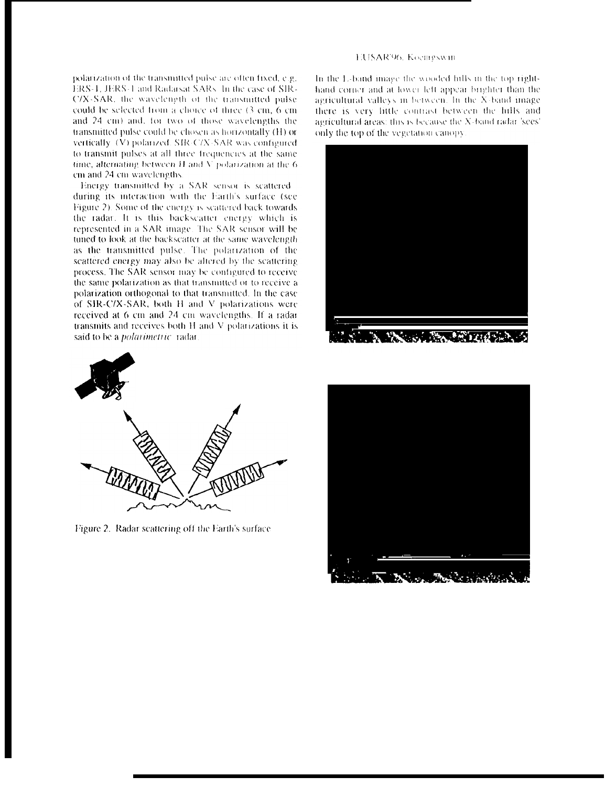polarization of the transmitted pulse are often fixed, e.g. ERS-1, JERS-1 and Radarsat SARs. In the case of SIR-C/X-SAR, the wavelength of the transmitted pulse could be selected from a choice of three (3 cm, 6 cm and 24 cm) and, for two of those wavelengths the transmitted pulse could be chosen as horizontally (H) or vertically (V) polarized. SIR-C/X-SAR was configured to transmit pulses at all three frequencies at the same time, alternating between  $H$  and  $V$  polarization at the 6 cm and 24 cm wavelengths.

Energy transmitted by a SAR sensor is scattered during its interaction with the Earth's surface (see Figure 2). Some of the energy is scattered back towards. the radar. It is this backscatter energy which is represented in a SAR image. The SAR sensor will be tuned to look at the backscatter at the same wavelength. as the transmitted pulse. The polarization of the scattered energy may also be altered by the scattering process. The SAR sensor may be configured to receive the same polarization as that transmitted or to receive a polarization orthogonal to that transmitted. In the case of SIR-C/X-SAR, both H and V polarizations were received at 6 cm and 24 cm wavelengths. If a radar transmits and receives both H and V polarizations it is said to be a *polarimetric* radar.



Figure 2. Radar scattering off the Earth's surface

#### EUSAR'96, Koemgswin

In the L-band image the wooded hills in the top righthand corner and at lower left appear brighter than the agricultural valleys in between. In the X-band image, there is very little contrast between the hills and agricultural areas: this is because the X-band radar 'sees' only the top of the vegetation canopy



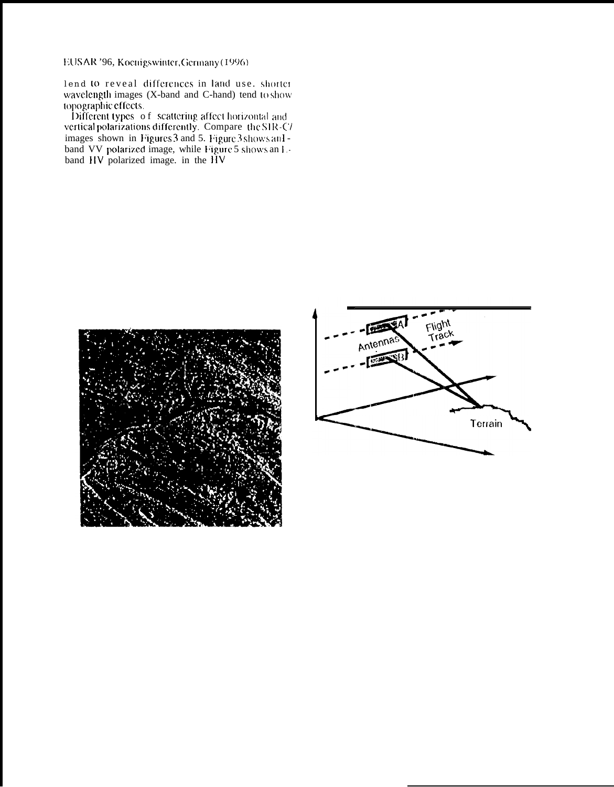EUSAR '96, Koenigswinter, Germany (1996)

lend to reveal differences in land use, shorter<br>wavelength images (X-band and C-hand) tend to show

topographic effects.<br>Different types of scattering affect horizontal and<br>vertical polarizations differently. Compare the SIR-C/ images shown in Figure 3 and 5. Figure 3 shows an I-<br>band VV polarized image, while Figure 5 shows an I-<br>band HV polarized image. in the HV



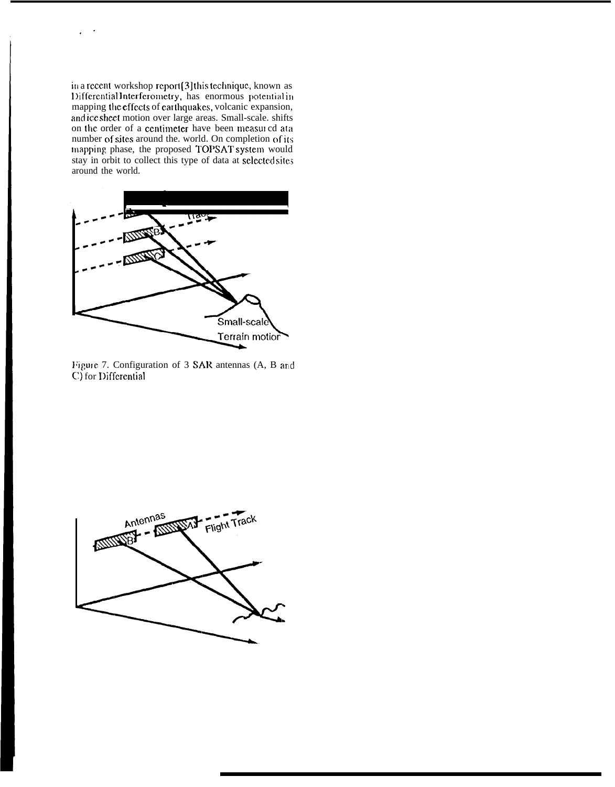in a recent workshop report [3] this technique, known as Differential Interferometry, has enormous potential in mapping the effects of earthquakes, volcanic expansion, and icc sheet motion over large areas. Small-scale. shifts on the order of a centimeter have been measured ata number of sites around the. world. On completion of its mapping phase, the proposed TOPSAT system would stay in orbit to collect this type of data at selected sites around the world.

.-



Figure 7. Configuration of 3 SAR antennas (A, B and C) for Differential